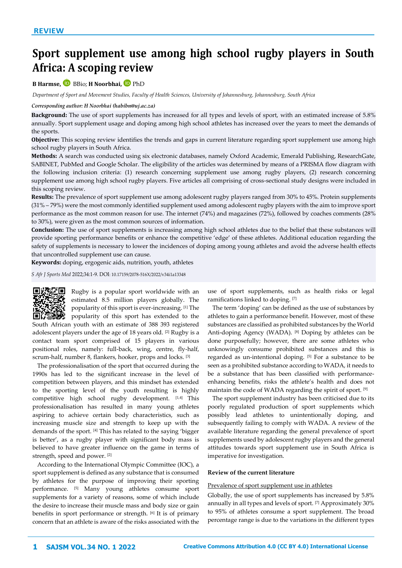# **Sport supplement use among high school rugby players in South Africa: A scoping review**

# **B Harmse,** BBio; **H Noorbhai,**PhD

*Department of Sport and Movement Studies, Faculty of Health Sciences, University of Johannesburg, Johannesburg, South Africa*

#### *Corresponding author: H Noorbhai [\(habibn@uj.ac.za\)](mailto:habibn@uj.ac.za)%7C)*

**Background:** The use of sport supplements has increased for all types and levels of sport, with an estimated increase of 5.8% annually. Sport supplement usage and doping among high school athletes has increased over the years to meet the demands of the sports.

**Objective:** This scoping review identifies the trends and gaps in current literature regarding sport supplement use among high school rugby players in South Africa.

**Methods:** A search was conducted using six electronic databases, namely Oxford Academic, Emerald Publishing, ResearchGate, SABINET, PubMed and Google Scholar. The eligibility of the articles was determined by means of a PRISMA flow diagram with the following inclusion criteria: (1) research concerning supplement use among rugby players, (2) research concerning supplement use among high school rugby players. Five articles all comprising of cross-sectional study designs were included in this scoping review.

**Results:** The prevalence of sport supplement use among adolescent rugby players ranged from 30% to 45%. Protein supplements (31% – 79%) were the most commonly identified supplement used among adolescent rugby players with the aim to improve sport performance as the most common reason for use. The internet (74%) and magazines (72%), followed by coaches comments (28% to 30%), were given as the most common sources of information.

**Conclusion:** The use of sport supplements is increasing among high school athletes due to the belief that these substances will provide sporting performance benefits or enhance the competitive 'edge' of these athletes. Additional education regarding the safety of supplements is necessary to lower the incidences of doping among young athletes and avoid the adverse health effects that uncontrolled supplement use can cause.

**Keywords:** doping, ergogenic aids, nutrition, youth, athletes

*S Afr J Sports Med* 2022;34:1-9. DOI: [10.17159/2078-516X/2022/v34i1a13348](http://dx.doi.org/10.17159/2078-516X/2022/v34i1a13348) 



Rugby is a popular sport worldwide with an estimated 8.5 million players globally. The popularity of this sport is ever-increasing. [1] The  $\Box$  $\Box$  $\Box$  $\Box$  $\Box$  popularity of this sport has extended to the

South African youth with an estimate of 388 393 registered adolescent players under the age of 18 years old. [2] Rugby is a contact team sport comprised of 15 players in various positional roles, namely: full-back, wing, centre, fly-half, scrum-half, number 8, flankers, hooker, props and locks. [3]

The professionalisation of the sport that occurred during the 1990s has led to the significant increase in the level of competition between players, and this mindset has extended to the sporting level of the youth resulting is highly competitive high school rugby development. [1,4] This professionalisation has resulted in many young athletes aspiring to achieve certain body characteristics, such as increasing muscle size and strength to keep up with the demands of the sport. [4] This has related to the saying 'bigger is better', as a rugby player with significant body mass is believed to have greater influence on the game in terms of strength, speed and power. [2]

According to the International Olympic Committee (IOC), a sport supplement is defined as any substance that is consumed by athletes for the purpose of improving their sporting performance. [5] Many young athletes consume sport supplements for a variety of reasons, some of which include the desire to increase their muscle mass and body size or gain benefits in sport performance or strength. [6] It is of primary concern that an athlete is aware of the risks associated with the

use of sport supplements, such as health risks or legal ramifications linked to doping. [7]

The term 'doping' can be defined as the use of substances by athletes to gain a performance benefit. However, most of these substances are classified as prohibited substances by the World Anti-doping Agency (WADA). [8] Doping by athletes can be done purposefully; however, there are some athletes who unknowingly consume prohibited substances and this is regarded as un-intentional doping. [5] For a substance to be seen as a prohibited substance according to WADA, it needs to be a substance that has been classified with performanceenhancing benefits, risks the athlete's health and does not maintain the code of WADA regarding the spirit of sport. [9]

The sport supplement industry has been criticised due to its poorly regulated production of sport supplements which possibly lead athletes to unintentionally doping, and subsequently failing to comply with WADA. A review of the available literature regarding the general prevalence of sport supplements used by adolescent rugby players and the general attitudes towards sport supplement use in South Africa is imperative for investigation.

#### **Review of the current literature**

#### Prevalence of sport supplement use in athletes

Globally, the use of sport supplements has increased by 5.8% annually in all types and levels of sport. [7] Approximately 30% to 95% of athletes consume a sport supplement. The broad percentage range is due to the variations in the different types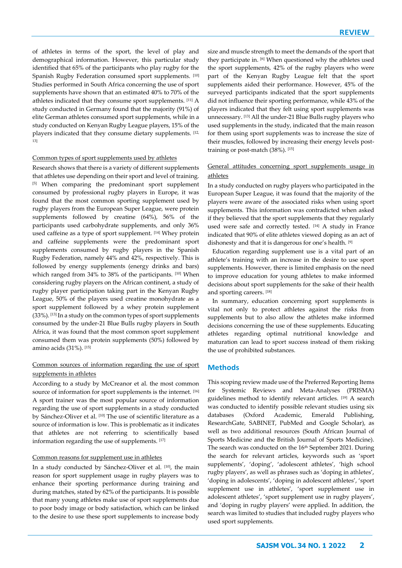of athletes in terms of the sport, the level of play and demographical information. However, this particular study identified that 65% of the participants who play rugby for the Spanish Rugby Federation consumed sport supplements. [10] Studies performed in South Africa concerning the use of sport supplements have shown that an estimated 40% to 70% of the athletes indicated that they consume sport supplements. [11] A study conducted in Germany found that the majority (91%) of elite German athletes consumed sport supplements, while in a study conducted on Kenyan Rugby League players, 15% of the players indicated that they consume dietary supplements. [12, 13]

#### Common types of sport supplements used by athletes

Research shows that there is a variety of different supplements that athletes use depending on their sport and level of training. [5] When comparing the predominant sport supplement consumed by professional rugby players in Europe, it was found that the most common sporting supplement used by rugby players from the European Super League, were protein supplements followed by creatine (64%), 56% of the participants used carbohydrate supplements, and only 36% used caffeine as a type of sport supplement. [14] Whey protein and caffeine supplements were the predominant sport supplements consumed by rugby players in the Spanish Rugby Federation, namely 44% and 42%, respectively. This is followed by energy supplements (energy drinks and bars) which ranged from 34% to 38% of the participants. [10] When considering rugby players on the African continent, a study of rugby player participation taking part in the Kenyan Rugby League, 50% of the players used creatine monohydrate as a sport supplement followed by a whey protein supplement (33%). [13] In a study on the common types of sport supplements consumed by the under-21 Blue Bulls rugby players in South Africa, it was found that the most common sport supplement consumed them was protein supplements (50%) followed by amino acids (31%). [15]

# Common sources of information regarding the use of sport supplements in athletes

According to a study by McCreanor et al. the most common source of information for sport supplements is the internet. [16] A sport trainer was the most popular source of information regarding the use of sport supplements in a study conducted by Sánchez-Oliver et al. <br/>  $^{\text{[10]}}$  The use of scientific literature as a source of information is low. This is problematic as it indicates that athletes are not referring to scientifically based information regarding the use of supplements. [17]

#### Common reasons for supplement use in athletes

In a study conducted by Sánchez-Oliver et al. [10], the main reason for sport supplement usage in rugby players was to enhance their sporting performance during training and during matches, stated by 62% of the participants. It is possible that many young athletes make use of sport supplements due to poor body image or body satisfaction, which can be linked to the desire to use these sport supplements to increase body

size and muscle strength to meet the demands of the sport that they participate in. [6] When questioned why the athletes used the sport supplements, 42% of the rugby players who were part of the Kenyan Rugby League felt that the sport supplements aided their performance. However, 45% of the surveyed participants indicated that the sport supplements did not influence their sporting performance, while 43% of the players indicated that they felt using sport supplements was unnecessary. [13] All the under-21 Blue Bulls rugby players who used supplements in the study, indicated that the main reason for them using sport supplements was to increase the size of their muscles, followed by increasing their energy levels posttraining or post-match (38%). [15]

# General attitudes concerning sport supplements usage in athletes

In a study conducted on rugby players who participated in the European Super League, it was found that the majority of the players were aware of the associated risks when using sport supplements. This information was contradicted when asked if they believed that the sport supplements that they regularly used were safe and correctly tested. [14] A study in France indicated that 90% of elite athletes viewed doping as an act of dishonesty and that it is dangerous for one's health. [9]

Education regarding supplement use is a vital part of an athlete's training with an increase in the desire to use sport supplements. However, there is limited emphasis on the need to improve education for young athletes to make informed decisions about sport supplements for the sake of their health and sporting careers. [18]

In summary, education concerning sport supplements is vital not only to protect athletes against the risks from supplements but to also allow the athletes make informed decisions concerning the use of these supplements. Educating athletes regarding optimal nutritional knowledge and maturation can lead to sport success instead of them risking the use of prohibited substances.

## **Methods**

This scoping review made use of the Preferred Reporting Items for Systemic Reviews and Meta-Analyses (PRISMA) guidelines method to identify relevant articles. [19] A search was conducted to identify possible relevant studies using six databases (Oxford Academic, Emerald Publishing, ResearchGate, SABINET, PubMed and Google Scholar), as well as two additional resources (South African Journal of Sports Medicine and the British Journal of Sports Medicine). The search was conducted on the 16<sup>th</sup> September 2021. During the search for relevant articles, keywords such as 'sport supplements', 'doping', 'adolescent athletes', 'high school rugby players', as well as phrases such as 'doping in athletes', 'doping in adolescents', 'doping in adolescent athletes', 'sport supplement use in athletes', 'sport supplement use in adolescent athletes', 'sport supplement use in rugby players', and 'doping in rugby players' were applied. In addition, the search was limited to studies that included rugby players who used sport supplements.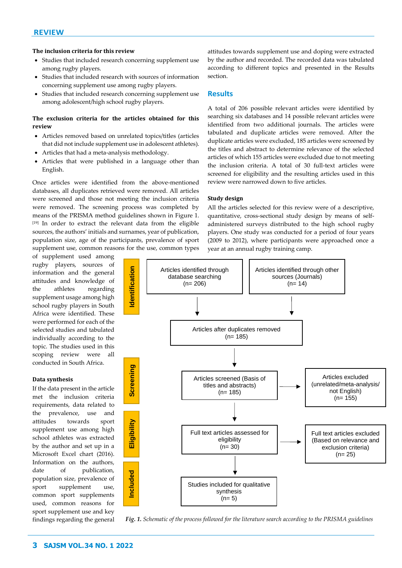# **The inclusion criteria for this review**

- Studies that included research concerning supplement use among rugby players.
- Studies that included research with sources of information concerning supplement use among rugby players.
- Studies that included research concerning supplement use among adolescent/high school rugby players.

# **The exclusion criteria for the articles obtained for this review**

- Articles removed based on unrelated topics/titles (articles that did not include supplement use in adolescent athletes).
- Articles that had a meta-analysis methodology.
- Articles that were published in a language other than English.

Once articles were identified from the above-mentioned databases, all duplicates retrieved were removed. All articles were screened and those not meeting the inclusion criteria were removed. The screening process was completed by means of the PRISMA method guidelines shown in Figure 1. [19] In order to extract the relevant data from the eligible sources, the authors' initials and surnames, year of publication, population size, age of the participants, prevalence of sport supplement use, common reasons for the use, common types

of supplement used among rugby players, sources of information and the general attitudes and knowledge of the athletes regarding supplement usage among high school rugby players in South Africa were identified. These were performed for each of the selected studies and tabulated individually according to the topic. The studies used in this scoping review were all conducted in South Africa.

# **Data synthesis**

If the data present in the article met the inclusion criteria requirements, data related to the prevalence, use and attitudes towards sport supplement use among high school athletes was extracted by the author and set up in a Microsoft Excel chart (2016). Information on the authors, date of publication, population size, prevalence of sport supplement use, common sport supplements used, common reasons for sport supplement use and key findings regarding the general

attitudes towards supplement use and doping were extracted by the author and recorded. The recorded data was tabulated according to different topics and presented in the Results section.

## **Results**

A total of 206 possible relevant articles were identified by searching six databases and 14 possible relevant articles were identified from two additional journals. The articles were tabulated and duplicate articles were removed. After the duplicate articles were excluded, 185 articles were screened by the titles and abstract to determine relevance of the selected articles of which 155 articles were excluded due to not meeting the inclusion criteria. A total of 30 full-text articles were screened for eligibility and the resulting articles used in this review were narrowed down to five articles.

## **Study design**

All the articles selected for this review were of a descriptive, quantitative, cross-sectional study design by means of selfadministered surveys distributed to the high school rugby players. One study was conducted for a period of four years (2009 to 2012), where participants were approached once a year at an annual rugby training camp.

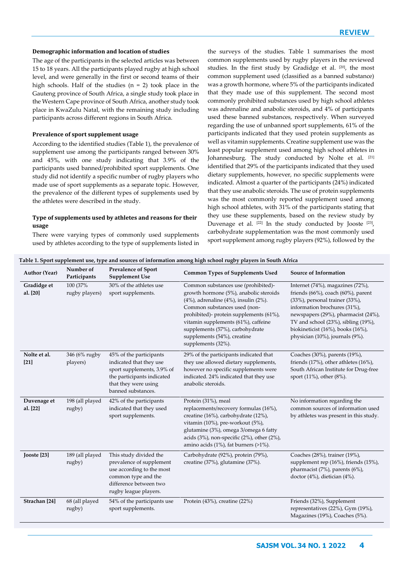#### **Demographic information and location of studies**

The age of the participants in the selected articles was between 15 to 18 years. All the participants played rugby at high school level, and were generally in the first or second teams of their high schools. Half of the studies  $(n = 2)$  took place in the Gauteng province of South Africa, a single study took place in the Western Cape province of South Africa, another study took place in KwaZulu Natal, with the remaining study including participants across different regions in South Africa.

#### **Prevalence of sport supplement usage**

According to the identified studies (Table 1), the prevalence of supplement use among the participants ranged between 30% and 45%, with one study indicating that 3.9% of the participants used banned/prohibited sport supplements. One study did not identify a specific number of rugby players who made use of sport supplements as a separate topic. However, the prevalence of the different types of supplements used by the athletes were described in the study.

# **Type of supplements used by athletes and reasons for their usage**

There were varying types of commonly used supplements used by athletes according to the type of supplements listed in the surveys of the studies. Table 1 summarises the most common supplements used by rugby players in the reviewed studies. In the first study by Gradidge et al. [20], the most common supplement used (classified as a banned substance) was a growth hormone, where 5% of the participants indicated that they made use of this supplement. The second most commonly prohibited substances used by high school athletes was adrenaline and anabolic steroids, and 4% of participants used these banned substances, respectively. When surveyed regarding the use of unbanned sport supplements, 61% of the participants indicated that they used protein supplements as well as vitamin supplements. Creatine supplement use was the least popular supplement used among high school athletes in Johannesburg. The study conducted by Nolte et al. [21] identified that 29% of the participants indicated that they used dietary supplements, however, no specific supplements were indicated. Almost a quarter of the participants (24%) indicated that they use anabolic steroids. The use of protein supplements was the most commonly reported supplement used among high school athletes, with 31% of the participants stating that they use these supplements, based on the review study by Duvenage et al. <sup>[22]</sup> In the study conducted by Jooste <sup>[23]</sup>, carbohydrate supplementation was the most commonly used sport supplement among rugby players (92%), followed by the

| <b>Author (Year)</b>     | Number of<br>Participants  | <b>Prevalence of Sport</b><br><b>Supplement Use</b>                                                                                                          | <b>Common Types of Supplements Used</b>                                                                                                                                                                                                                                                                                                     | <b>Source of Information</b>                                                                                                                                                                                                                                                                           |
|--------------------------|----------------------------|--------------------------------------------------------------------------------------------------------------------------------------------------------------|---------------------------------------------------------------------------------------------------------------------------------------------------------------------------------------------------------------------------------------------------------------------------------------------------------------------------------------------|--------------------------------------------------------------------------------------------------------------------------------------------------------------------------------------------------------------------------------------------------------------------------------------------------------|
| Gradidge et<br>al. [20]  | 100 (37%<br>rugby players) | 30% of the athletes use<br>sport supplements.                                                                                                                | Common substances use (prohibited)-<br>growth hormone (5%), anabolic steroids<br>$(4\%)$ , adrenaline $(4\%)$ , insulin $(2\%)$ .<br>Common substances used (non-<br>prohibited)- protein supplements (61%),<br>vitamin supplements (61%), caffeine<br>supplements (57%), carbohydrate<br>supplements (54%), creatine<br>supplements (32%). | Internet (74%), magazines (72%),<br>friends (66%), coach (60%), parent<br>(33%), personal trainer (33%),<br>information brochures (31%),<br>newspapers (29%), pharmacist (24%),<br>TV and school (23%), sibling (19%),<br>biokineticist $(16\%)$ , books $(16\%)$ ,<br>physician (10%), journals (9%). |
| Nolte et al.<br>$[21]$   | 346 (6% rugby<br>players)  | 45% of the participants<br>indicated that they use<br>sport supplements, 3.9% of<br>the participants indicated<br>that they were using<br>banned substances. | 29% of the participants indicated that<br>they use allowed dietary supplements,<br>however no specific supplements were<br>indicated. 24% indicated that they use<br>anabolic steroids.                                                                                                                                                     | Coaches (30%), parents (19%),<br>friends $(17%)$ , other athletes $(16%)$ ,<br>South African Institute for Drug-free<br>sport (11%), other (8%).                                                                                                                                                       |
| Duvenage et<br>al. [22]  | 198 (all played<br>rugby)  | 42% of the participants<br>indicated that they used<br>sport supplements.                                                                                    | Protein (31%), meal<br>replacements/recovery formulas (16%),<br>creatine (16%), carbohydrate (12%),<br>vitamin (10%), pre-workout (5%),<br>glutamine (3%), omega 3/omega 6 fatty<br>acids $(3\%)$ , non-specific $(2\%)$ , other $(2\%)$ ,<br>amino acids $(1\%)$ , fat burners $(>1\%)$ .                                                  | No information regarding the<br>common sources of information used<br>by athletes was present in this study.                                                                                                                                                                                           |
| Jooste [23]              | 189 (all played<br>rugby)  | This study divided the<br>prevalence of supplement<br>use according to the most<br>common type and the<br>difference between two<br>rugby league players.    | Carbohydrate (92%), protein (79%),<br>creatine (37%), glutamine (37%).                                                                                                                                                                                                                                                                      | Coaches (28%), trainer (19%),<br>supplement rep (16%), friends (15%),<br>pharmacist (7%), parents (6%),<br>doctor (4%), dietician (4%).                                                                                                                                                                |
| Strachan <sup>[24]</sup> | 68 (all played<br>rugby)   | 54% of the participants use<br>sport supplements.                                                                                                            | Protein (43%), creatine (22%)                                                                                                                                                                                                                                                                                                               | Friends (32%), Supplement<br>representatives (22%), Gym (19%),<br>Magazines (19%), Coaches (5%).                                                                                                                                                                                                       |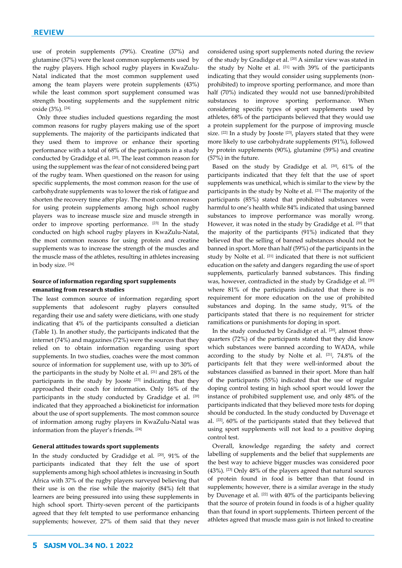use of protein supplements (79%). Creatine (37%) and glutamine (37%) were the least common supplements used by the rugby players. High school rugby players in KwaZulu-Natal indicated that the most common supplement used among the team players were protein supplements (43%) while the least common sport supplement consumed was strength boosting supplements and the supplement nitric oxide (3%). [24]

Only three studies included questions regarding the most common reasons for rugby players making use of the sport supplements. The majority of the participants indicated that they used them to improve or enhance their sporting performance with a total of 68% of the participants in a study conducted by Gradidge et al. [20]. The least common reason for using the supplement was the fear of not considered being part of the rugby team. When questioned on the reason for using specific supplements, the most common reason for the use of carbohydrate supplements was to lower the risk of fatigue and shorten the recovery time after play. The most common reason for using protein supplements among high school rugby players was to increase muscle size and muscle strength in order to improve sporting performance. [23] In the study conducted on high school rugby players in KwaZulu-Natal, the most common reasons for using protein and creatine supplements was to increase the strength of the muscles and the muscle mass of the athletes, resulting in athletes increasing in body size. [24]

## **Source of information regarding sport supplements emanating from research studies**

The least common source of information regarding sport supplements that adolescent rugby players consulted regarding their use and safety were dieticians, with one study indicating that 4% of the participants consulted a dietician (Table 1). In another study, the participants indicated that the internet (74%) and magazines (72%) were the sources that they relied on to obtain information regarding using sport supplements. In two studies, coaches were the most common source of information for supplement use, with up to 30% of the participants in the study by Nolte et al. [21] and 28% of the participants in the study by Jooste<sup>[23]</sup> indicating that they approached their coach for information. Only 16% of the participants in the study conducted by Gradidge et al. [20] indicated that they approached a biokineticist for information about the use of sport supplements. The most common source of information among rugby players in KwaZulu-Natal was information from the player's friends. [24]

### **General attitudes towards sport supplements**

In the study conducted by Gradidge et al. [20], 91% of the participants indicated that they felt the use of sport supplements among high school athletes is increasing in South Africa with 37% of the rugby players surveyed believing that their use is on the rise while the majority (84%) felt that learners are being pressured into using these supplements in high school sport. Thirty-seven percent of the participants agreed that they felt tempted to use performance enhancing supplements; however, 27% of them said that they never considered using sport supplements noted during the review of the study by Gradidge et al. [20] A similar view was stated in the study by Nolte et al. [21] with 39% of the participants indicating that they would consider using supplements (nonprohibited) to improve sporting performance, and more than half (70%) indicated they would not use banned/prohibited substances to improve sporting performance. When considering specific types of sport supplements used by athletes, 68% of the participants believed that they would use a protein supplement for the purpose of improving muscle size. <sup>[22]</sup> In a study by Jooste <sup>[23]</sup>, players stated that they were more likely to use carbohydrate supplements (91%), followed by protein supplements (90%), glutamine (59%) and creatine (57%) in the future.

Based on the study by Gradidge et al. [20], 61% of the participants indicated that they felt that the use of sport supplements was unethical, which is similar to the view by the participants in the study by Nolte et al. [21] The majority of the participants (85%) stated that prohibited substances were harmful to one's health while 84% indicated that using banned substances to improve performance was morally wrong. However, it was noted in the study by Gradidge et al. [20] that the majority of the participants (91%) indicated that they believed that the selling of banned substances should not be banned in sport. More than half (59%) of the participants in the study by Nolte et al. [21] indicated that there is not sufficient education on the safety and dangers regarding the use of sport supplements, particularly banned substances. This finding was, however, contradicted in the study by Gradidge et al. [20] where 81% of the participants indicated that there is no requirement for more education on the use of prohibited substances and doping. In the same study, 91% of the participants stated that there is no requirement for stricter ramifications or punishments for doping in sport.

In the study conducted by Gradidge et al. [20], almost threequarters (72%) of the participants stated that they did know which substances were banned according to WADA, while according to the study by Nolte et al. [21] , 74.8% of the participants felt that they were well-informed about the substances classified as banned in their sport. More than half of the participants (55%) indicated that the use of regular doping control testing in high school sport would lower the instance of prohibited supplement use, and only 48% of the participants indicated that they believed more tests for doping should be conducted. In the study conducted by Duvenage et al. [22], 60% of the participants stated that they believed that using sport supplements will not lead to a positive doping control test.

Overall, knowledge regarding the safety and correct labelling of supplements and the belief that supplements are the best way to achieve bigger muscles was considered poor (43%). [23] Only 48% of the players agreed that natural sources of protein found in food is better than that found in supplements; however, there is a similar average in the study by Duvenage et al. <a>[22]</a> with 40% of the participants believing that the source of protein found in foods is of a higher quality than that found in sport supplements. Thirteen percent of the athletes agreed that muscle mass gain is not linked to creatine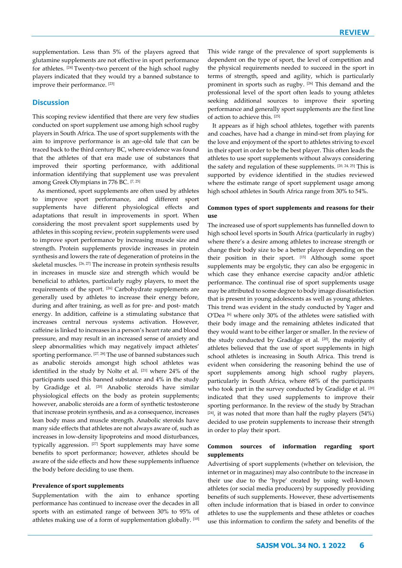supplementation. Less than 5% of the players agreed that glutamine supplements are not effective in sport performance for athletes. [24] Twenty-two percent of the high school rugby players indicated that they would try a banned substance to improve their performance. [23]

# **Discussion**

This scoping review identified that there are very few studies conducted on sport supplement use among high school rugby players in South Africa. The use of sport supplements with the aim to improve performance is an age-old tale that can be traced back to the third century BC, where evidence was found that the athletes of that era made use of substances that improved their sporting performance, with additional information identifying that supplement use was prevalent among Greek Olympians in 776 BC. [7, 25]

As mentioned, sport supplements are often used by athletes to improve sport performance, and different sport supplements have different physiological effects and adaptations that result in improvements in sport. When considering the most prevalent sport supplements used by athletes in this scoping review, protein supplements were used to improve sport performance by increasing muscle size and strength. Protein supplements provide increases in protein synthesis and lowers the rate of degeneration of proteins in the skeletal muscles. [26, 27] The increase in protein synthesis results in increases in muscle size and strength which would be beneficial to athletes, particularly rugby players, to meet the requirements of the sport. [26] Carbohydrate supplements are generally used by athletes to increase their energy before, during and after training, as well as for pre- and post- match energy. In addition, caffeine is a stimulating substance that increases central nervous systems activation. However, caffeine is linked to increases in a person's heart rate and blood pressure, and may result in an increased sense of anxiety and sleep abnormalities which may negatively impact athletes' sporting performance. [27, 28] The use of banned substances such as anabolic steroids amongst high school athletes was identified in the study by Nolte et al. [21] where 24% of the participants used this banned substance and 4% in the study by Gradidge et al. <sup>[20]</sup> Anabolic steroids have similar physiological effects on the body as protein supplements; however, anabolic steroids are a form of synthetic testosterone that increase protein synthesis, and as a consequence, increases lean body mass and muscle strength. Anabolic steroids have many side effects that athletes are not always aware of, such as increases in low-density lipoproteins and mood disturbances, typically aggression. [27] Sport supplements may have some benefits to sport performance; however, athletes should be aware of the side effects and how these supplements influence the body before deciding to use them.

#### **Prevalence of sport supplements**

Supplementation with the aim to enhance sporting performance has continued to increase over the decades in all sports with an estimated range of between 30% to 95% of athletes making use of a form of supplementation globally. [10] This wide range of the prevalence of sport supplements is dependent on the type of sport, the level of competition and the physical requirements needed to succeed in the sport in terms of strength, speed and agility, which is particularly prominent in sports such as rugby. [26] This demand and the professional level of the sport often leads to young athletes seeking additional sources to improve their sporting performance and generally sport supplements are the first line of action to achieve this. [25]

It appears as if high school athletes, together with parents and coaches, have had a change in mind-set from playing for the love and enjoyment of the sport to athletes striving to excel in their sport in order to be the best player. This often leads the athletes to use sport supplements without always considering the safety and regulation of these supplements. [20, 24, 25] This is supported by evidence identified in the studies reviewed where the estimate range of sport supplement usage among high school athletes in South Africa range from 30% to 54%.

## **Common types of sport supplements and reasons for their use**

The increased use of sport supplements has funnelled down to high school level sports in South Africa (particularly in rugby) where there's a desire among athletes to increase strength or change their body size to be a better player depending on the their position in their sport. [15] Although some sport supplements may be ergolytic, they can also be ergogenic in which case they enhance exercise capacity and/or athletic performance. The continual rise of sport supplements usage may be attributed to some degree to body image dissatisfaction that is present in young adolescents as well as young athletes. This trend was evident in the study conducted by Yager and O'Dea [6] where only 30% of the athletes were satisfied with their body image and the remaining athletes indicated that they would want to be either larger or smaller. In the review of the study conducted by Gradidge et al. [20], the majority of athletes believed that the use of sport supplements in high school athletes is increasing in South Africa. This trend is evident when considering the reasoning behind the use of sport supplements among high school rugby players, particularly in South Africa, where 68% of the participants who took part in the survey conducted by Gradidge et al. [20] indicated that they used supplements to improve their sporting performance. In the review of the study by Strachan  $[24]$ , it was noted that more than half the rugby players (54%) decided to use protein supplements to increase their strength in order to play their sport.

# **Common sources of information regarding sport supplements**

Advertising of sport supplements (whether on television, the internet or in magazines) may also contribute to the increase in their use due to the 'hype' created by using well-known athletes (or social media producers) by supposedly providing benefits of such supplements. However, these advertisements often include information that is biased in order to convince athletes to use the supplements and these athletes or coaches use this information to confirm the safety and benefits of the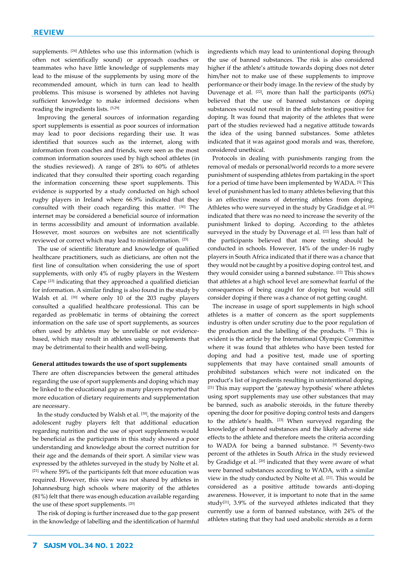supplements. <sup>[24]</sup> Athletes who use this information (which is often not scientifically sound) or approach coaches or teammates who have little knowledge of supplements may lead to the misuse of the supplements by using more of the recommended amount, which in turn can lead to health problems. This misuse is worsened by athletes not having sufficient knowledge to make informed decisions when reading the ingredients lists. [5,29]

Improving the general sources of information regarding sport supplements is essential as poor sources of information may lead to poor decisions regarding their use. It was identified that sources such as the internet, along with information from coaches and friends, were seen as the most common information sources used by high school athletes (in the studies reviewed). A range of 28% to 60% of athletes indicated that they consulted their sporting coach regarding the information concerning these sport supplements. This evidence is supported by a study conducted on high school rugby players in Ireland where 66.9% indicated that they consulted with their coach regarding this matter. [30] The internet may be considered a beneficial source of information in terms accessibility and amount of information available. However, most sources on websites are not scientifically reviewed or correct which may lead to misinformation. [25]

The use of scientific literature and knowledge of qualified healthcare practitioners, such as dieticians, are often not the first line of consultation when considering the use of sport supplements, with only 4% of rugby players in the Western Cape [23] indicating that they approached a qualified dietician for information. A similar finding is also found in the study by Walsh et al. [30] where only 10 of the 203 rugby players consulted a qualified healthcare professional. This can be regarded as problematic in terms of obtaining the correct information on the safe use of sport supplements, as sources often used by athletes may be unreliable or not evidencebased, which may result in athletes using supplements that may be detrimental to their health and well-being.

#### **General attitudes towards the use of sport supplements**

There are often discrepancies between the general attitudes regarding the use of sport supplements and doping which may be linked to the educational gap as many players reported that more education of dietary requirements and supplementation are necessary.

In the study conducted by Walsh et al. [30], the majority of the adolescent rugby players felt that additional education regarding nutrition and the use of sport supplements would be beneficial as the participants in this study showed a poor understanding and knowledge about the correct nutrition for their age and the demands of their sport. A similar view was expressed by the athletes surveyed in the study by Nolte et al. [21] where 59% of the participants felt that more education was required. However, this view was not shared by athletes in Johannesburg high schools where majority of the athletes (81%) felt that there was enough education available regarding the use of these sport supplements. [20]

The risk of doping is further increased due to the gap present in the knowledge of labelling and the identification of harmful ingredients which may lead to unintentional doping through the use of banned substances. The risk is also considered higher if the athlete's attitude towards doping does not deter him/her not to make use of these supplements to improve performance or their body image. In the review of the study by Duvenage et al.  $[22]$ , more than half the participants  $(60\%)$ believed that the use of banned substances or doping substances would not result in the athlete testing positive for doping. It was found that majority of the athletes that were part of the studies reviewed had a negative attitude towards the idea of the using banned substances. Some athletes indicated that it was against good morals and was, therefore, considered unethical.

Protocols in dealing with punishments ranging from the removal of medals or personal/world records to a more severe punishment of suspending athletes from partaking in the sport for a period of time have been implemented by WADA. [5] This level of punishment has led to many athletes believing that this is an effective means of deterring athletes from doping. Athletes who were surveyed in the study by Gradidge et al. [20] indicated that there was no need to increase the severity of the punishment linked to doping. According to the athletes surveyed in the study by Duvenage et al. [22] less than half of the participants believed that more testing should be conducted in schools. However, 14% of the under-16 rugby players in South Africa indicated that if there was a chance that they would not be caught by a positive doping control test, and they would consider using a banned substance. [22] This shows that athletes at a high school level are somewhat fearful of the consequences of being caught for doping but would still consider doping if there was a chance of not getting caught.

The increase in usage of sport supplements in high school athletes is a matter of concern as the sport supplements industry is often under scrutiny due to the poor regulation of the production and the labelling of the products. [7] This is evident is the article by the International Olympic Committee where it was found that athletes who have been tested for doping and had a positive test, made use of sporting supplements that may have contained small amounts of prohibited substances which were not indicated on the product's list of ingredients resulting in unintentional doping. [21] This may support the 'gateway hypothesis' where athletes using sport supplements may use other substances that may be banned, such as anabolic steroids, in the future thereby opening the door for positive doping control tests and dangers to the athlete's health. [23] When surveyed regarding the knowledge of banned substances and the likely adverse side effects to the athlete and therefore meets the criteria according to WADA for being a banned substance. <sup>[9]</sup> Seventy-two percent of the athletes in South Africa in the study reviewed by Gradidge et al. [20] indicated that they were aware of what were banned substances according to WADA, with a similar view in the study conducted by Nolte et al. [21]. This would be considered as a positive attitude towards anti-doping awareness. However, it is important to note that in the same study<sup>[21]</sup>, 3.9% of the surveyed athletes indicated that they currently use a form of banned substance, with 24% of the athletes stating that they had used anabolic steroids as a form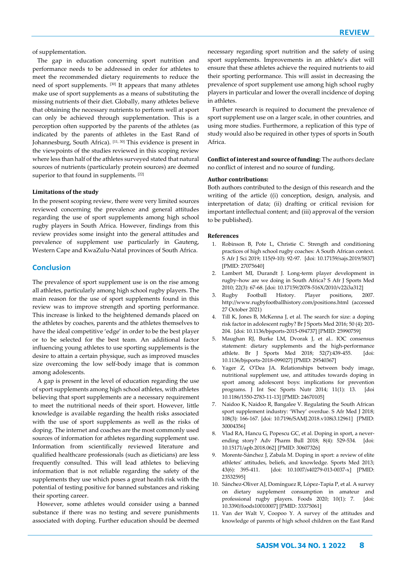of supplementation.

The gap in education concerning sport nutrition and performance needs to be addressed in order for athletes to meet the recommended dietary requirements to reduce the need of sport supplements. [30] It appears that many athletes make use of sport supplements as a means of substituting the missing nutrients of their diet. Globally, many athletes believe that obtaining the necessary nutrients to perform well at sport can only be achieved through supplementation. This is a perception often supported by the parents of the athletes (as indicated by the parents of athletes in the East Rand of Johannesburg, South Africa). <a>[11, 30]</a> This evidence is present in the viewpoints of the studies reviewed in this scoping review where less than half of the athletes surveyed stated that natural sources of nutrients (particularly protein sources) are deemed superior to that found in supplements. [22]

### **Limitations of the study**

In the present scoping review, there were very limited sources reviewed concerning the prevalence and general attitudes regarding the use of sport supplements among high school rugby players in South Africa. However, findings from this review provides some insight into the general attitudes and prevalence of supplement use particularly in Gauteng, Western Cape and KwaZulu-Natal provinces of South Africa.

## **Conclusion**

The prevalence of sport supplement use is on the rise among all athletes, particularly among high school rugby players. The main reason for the use of sport supplements found in this review was to improve strength and sporting performance. This increase is linked to the heightened demands placed on the athletes by coaches, parents and the athletes themselves to have the ideal competitive 'edge' in order to be the best player or to be selected for the best team. An additional factor influencing young athletes to use sporting supplements is the desire to attain a certain physique, such as improved muscles size overcoming the low self-body image that is common among adolescents.

A gap is present in the level of education regarding the use of sport supplements among high school athletes, with athletes believing that sport supplements are a necessary requirement to meet the nutritional needs of their sport. However, little knowledge is available regarding the health risks associated with the use of sport supplements as well as the risks of doping. The internet and coaches are the most commonly used sources of information for athletes regarding supplement use. Information from scientifically reviewed literature and qualified healthcare professionals (such as dieticians) are less frequently consulted. This will lead athletes to believing information that is not reliable regarding the safety of the supplements they use which poses a great health risk with the potential of testing positive for banned substances and risking their sporting career.

However, some athletes would consider using a banned substance if there was no testing and severe punishments associated with doping. Further education should be deemed

necessary regarding sport nutrition and the safety of using sport supplements. Improvements in an athlete's diet will ensure that these athletes achieve the required nutrients to aid their sporting performance. This will assist in decreasing the prevalence of sport supplement use among high school rugby players in particular and lower the overall incidence of doping in athletes.

Further research is required to document the prevalence of sport supplement use on a larger scale, in other countries, and using more studies. Furthermore, a replication of this type of study would also be required in other types of sports in South Africa.

**Conflict of interest and source of funding:** The authors declare no conflict of interest and no source of funding.

#### **Author contributions:**

Both authors contributed to the design of this research and the writing of the article ((i) conception, design, analysis, and interpretation of data; (ii) drafting or critical revision for important intellectual content; and (iii) approval of the version to be published).

#### **References**

- 1. Robinson B, Pote L, Christie C. Strength and conditioning practices of high school rugby coaches: A South African context. S Afr J Sci 2019; 115(9-10): 92-97. [doi: 10.17159/sajs.2019/5837] [PMID: 27075640]
- 2. Lambert MI, Durandt J. Long-term player development in rugby–how are we doing in South Africa? S Afr J Sports Med 2010; 22(3): 67-68. [doi: 10.17159/2078-516X/2010/v22i3a312]
- 3. Rugby Football History. Player positions, 2007. http://www.rugbyfootballhistory.com/positions.html (accessed 27 October 2021)
- 4. Till K, Jones B, McKenna J, et al. The search for size: a doping risk factor in adolescent rugby? Br J Sports Med 2016; 50 (4): 203- 204. [doi: 10.1136/bjsports-2015-094737] [PMID: 25990759]
- 5. Maughan RJ, Burke LM, Dvorak J, et al.. IOC consensus statement: dietary supplements and the high-performance athlete. Br J Sports Med 2018; 52(7):439-455. [doi: 10.1136/bjsports-2018-099027] [PMID: 29540367]
- 6. Yager Z, O'Dea JA. Relationships between body image, nutritional supplement use, and attitudes towards doping in sport among adolescent boys: implications for prevention programs. J Int Soc Sports Nutr 2014; 11(1): 13. [doi 10.1186/1550-2783-11-13] [PMID: 24670105]
- 7. Naidoo K, Naidoo R, Bangalee V. Regulating the South African sport supplement industry: 'Whey' overdue. S Afr Med J 2018; 108(3): 166-167. [doi: 10.7196/SAMJ.2018.v108i3.12961] [PMID: 30004356]
- 8. Vlad RA, Hancu G, Popescu GC, et al. Doping in sport, a neverending story? Adv Pharm Bull 2018; 8(4): 529-534. [doi: 10.15171/apb.2018.062] [PMID: 30607326]
- 9. Morente-Sánchez J, Zabala M. Doping in sport: a review of elite athletes' attitudes, beliefs, and knowledge. Sports Med 2013; 43(6): 395-411. [doi: 10.1007/s40279-013-0037-x] [PMID: 23532595]
- 10. Sánchez-Oliver AJ, Domínguez R, López-Tapia P, et al. A survey on dietary supplement consumption in amateur and professional rugby players. Foods 2020; 10(1): 7. [doi: 10.3390/foods10010007] [PMID: 33375061]
- 11. Van der Walt V, Coopoo Y. A survey of the attitudes and knowledge of parents of high school children on the East Rand